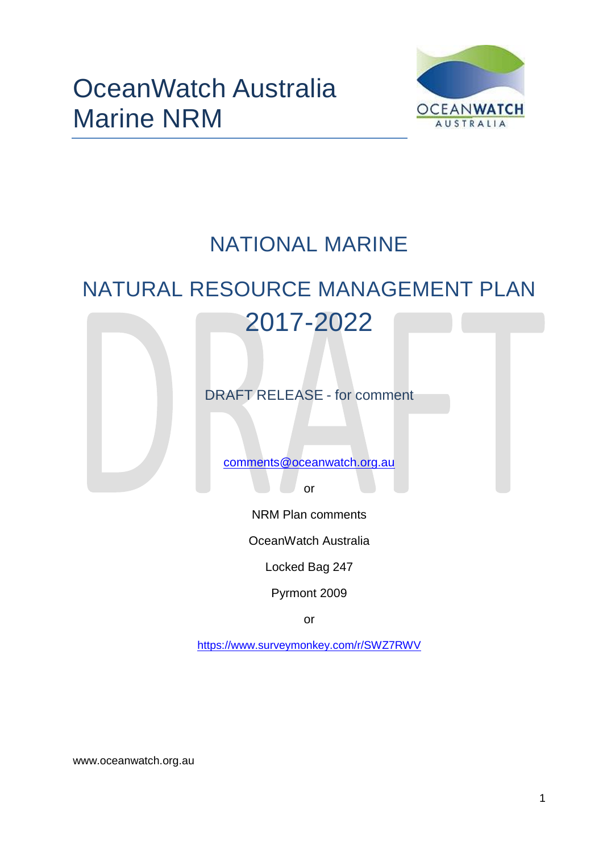

## NATIONAL MARINE

# NATURAL RESOURCE MANAGEMENT PLAN 2017-2022

DRAFT RELEASE - for comment

[comments@oceanwatch.org.au](mailto:comments@oceanwatch.org.au)

or

NRM Plan comments

OceanWatch Australia

Locked Bag 247

Pyrmont 2009

or

<https://www.surveymonkey.com/r/SWZ7RWV>

www.oceanwatch.org.au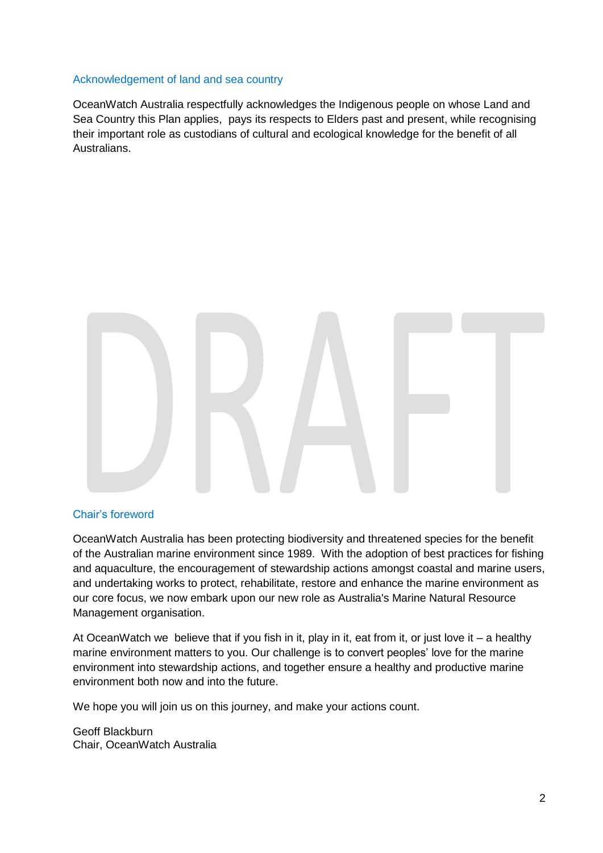#### Acknowledgement of land and sea country

OceanWatch Australia respectfully acknowledges the Indigenous people on whose Land and Sea Country this Plan applies, pays its respects to Elders past and present, while recognising their important role as custodians of cultural and ecological knowledge for the benefit of all Australians.



#### Chair's foreword

OceanWatch Australia has been protecting biodiversity and threatened species for the benefit of the Australian marine environment since 1989. With the adoption of best practices for fishing and aquaculture, the encouragement of stewardship actions amongst coastal and marine users, and undertaking works to protect, rehabilitate, restore and enhance the marine environment as our core focus, we now embark upon our new role as Australia's Marine Natural Resource Management organisation.

At OceanWatch we believe that if you fish in it, play in it, eat from it, or just love it – a healthy marine environment matters to you. Our challenge is to convert peoples' love for the marine environment into stewardship actions, and together ensure a healthy and productive marine environment both now and into the future.

We hope you will join us on this journey, and make your actions count.

Geoff Blackburn Chair, OceanWatch Australia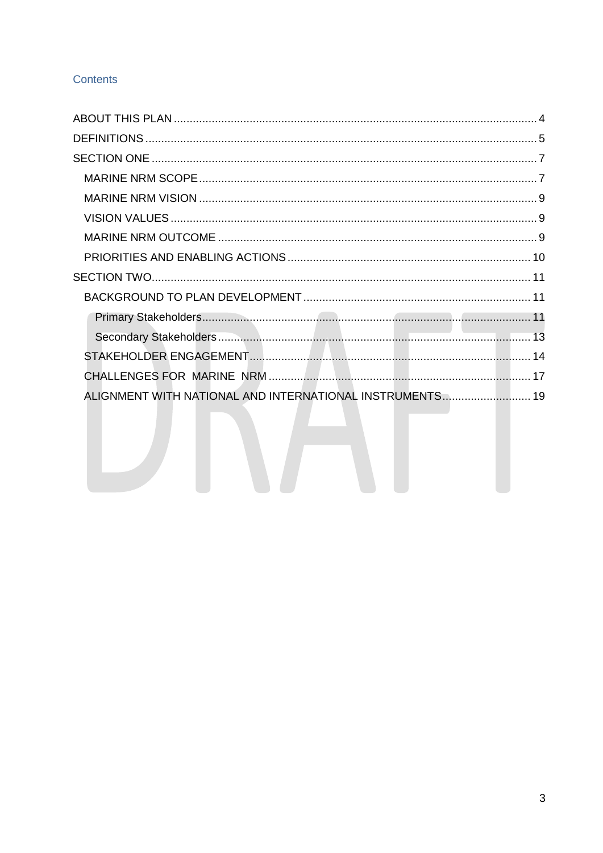## **Contents**

| ALIGNMENT WITH NATIONAL AND INTERNATIONAL INSTRUMENTS 19 |  |
|----------------------------------------------------------|--|
|                                                          |  |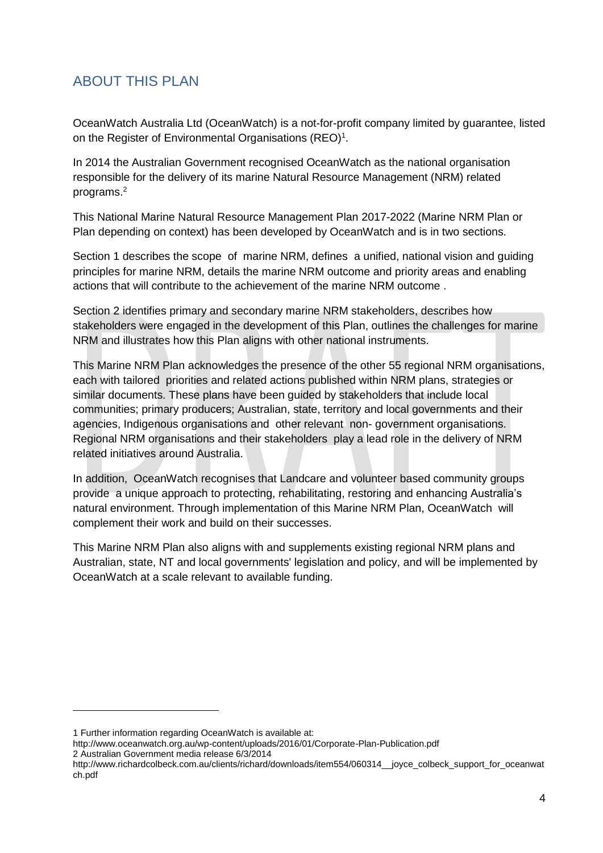## <span id="page-3-0"></span>ABOUT THIS PLAN

OceanWatch Australia Ltd (OceanWatch) is a not-for-profit company limited by guarantee, listed on the Register of Environmental Organisations (REO)<sup>1</sup>.

In 2014 the Australian Government recognised OceanWatch as the national organisation responsible for the delivery of its marine Natural Resource Management (NRM) related programs. 2

This National Marine Natural Resource Management Plan 2017-2022 (Marine NRM Plan or Plan depending on context) has been developed by OceanWatch and is in two sections.

Section 1 describes the scope of marine NRM, defines a unified, national vision and guiding principles for marine NRM, details the marine NRM outcome and priority areas and enabling actions that will contribute to the achievement of the marine NRM outcome .

Section 2 identifies primary and secondary marine NRM stakeholders, describes how stakeholders were engaged in the development of this Plan, outlines the challenges for marine NRM and illustrates how this Plan aligns with other national instruments.

This Marine NRM Plan acknowledges the presence of the other 55 regional NRM organisations, each with tailored priorities and related actions published within NRM plans, strategies or similar documents. These plans have been guided by stakeholders that include local communities; primary producers; Australian, state, territory and local governments and their agencies, Indigenous organisations and other relevant non- government organisations. Regional NRM organisations and their stakeholders play a lead role in the delivery of NRM related initiatives around Australia.

In addition, OceanWatch recognises that Landcare and volunteer based community groups provide a unique approach to protecting, rehabilitating, restoring and enhancing Australia's natural environment. Through implementation of this Marine NRM Plan, OceanWatch will complement their work and build on their successes.

This Marine NRM Plan also aligns with and supplements existing regional NRM plans and Australian, state, NT and local governments' legislation and policy, and will be implemented by OceanWatch at a scale relevant to available funding.

<sup>1</sup> Further information regarding OceanWatch is available at:

http://www.oceanwatch.org.au/wp-content/uploads/2016/01/Corporate-Plan-Publication.pdf 2 Australian Government media release 6/3/2014

http://www.richardcolbeck.com.au/clients/richard/downloads/item554/060314\_\_joyce\_colbeck\_support\_for\_oceanwat ch.pdf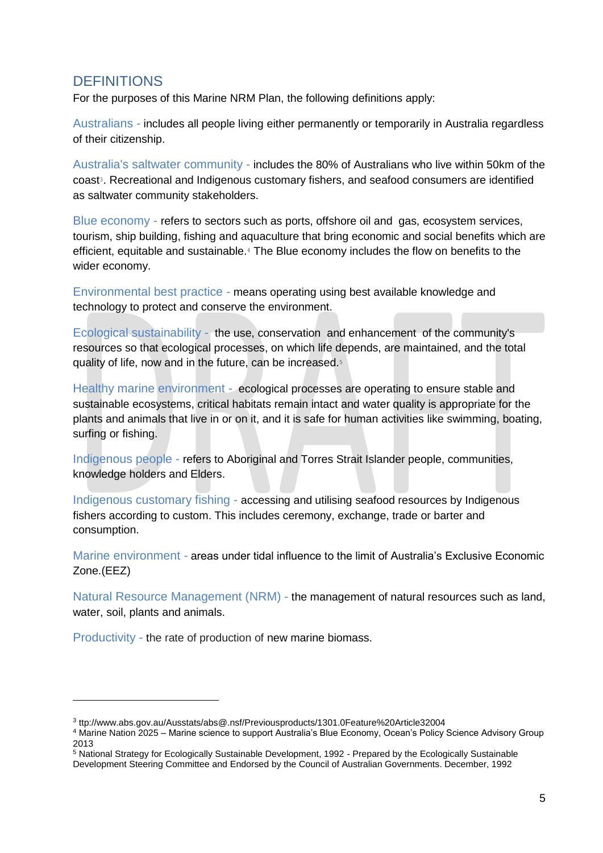## <span id="page-4-0"></span>**DEFINITIONS**

For the purposes of this Marine NRM Plan, the following definitions apply:

Australians - includes all people living either permanently or temporarily in Australia regardless of their citizenship.

Australia's saltwater community - includes the 80% of Australians who live within 50km of the coast<sup>3</sup>. Recreational and Indigenous customary fishers, and seafood consumers are identified as saltwater community stakeholders.

Blue economy - refers to sectors such as ports, offshore oil and gas, ecosystem services, tourism, ship building, fishing and aquaculture that bring economic and social benefits which are efficient, equitable and sustainable. <sup>4</sup> The Blue economy includes the flow on benefits to the wider economy.

Environmental best practice - means operating using best available knowledge and technology to protect and conserve the environment.

Ecological sustainability - the use, conservation and enhancement of the community's resources so that ecological processes, on which life depends, are maintained, and the total quality of life, now and in the future, can be increased.<sup>5</sup>

Healthy marine environment - ecological processes are operating to ensure stable and sustainable ecosystems, critical habitats remain intact and water quality is appropriate for the plants and animals that live in or on it, and it is safe for human activities like swimming, boating, surfing or fishing.

Indigenous people - refers to Aboriginal and Torres Strait Islander people, communities, knowledge holders and Elders.

Indigenous customary fishing - accessing and utilising seafood resources by Indigenous fishers according to custom. This includes ceremony, exchange, trade or barter and consumption.

Marine environment - areas under tidal influence to the limit of Australia's Exclusive Economic Zone.(EEZ)

Natural Resource Management (NRM) - the management of natural resources such as land, water, soil, plants and animals.

Productivity - the rate of production of new marine biomass.

<sup>3</sup> ttp://www.abs.gov.au/Ausstats/abs@.nsf/Previousproducts/1301.0Feature%20Article32004

<sup>4</sup> Marine Nation 2025 – Marine science to support Australia's Blue Economy, Ocean's Policy Science Advisory Group 2013

<sup>5</sup> National Strategy for Ecologically Sustainable Development, 1992 - Prepared by the Ecologically Sustainable Development Steering Committee and Endorsed by the Council of Australian Governments. December, 1992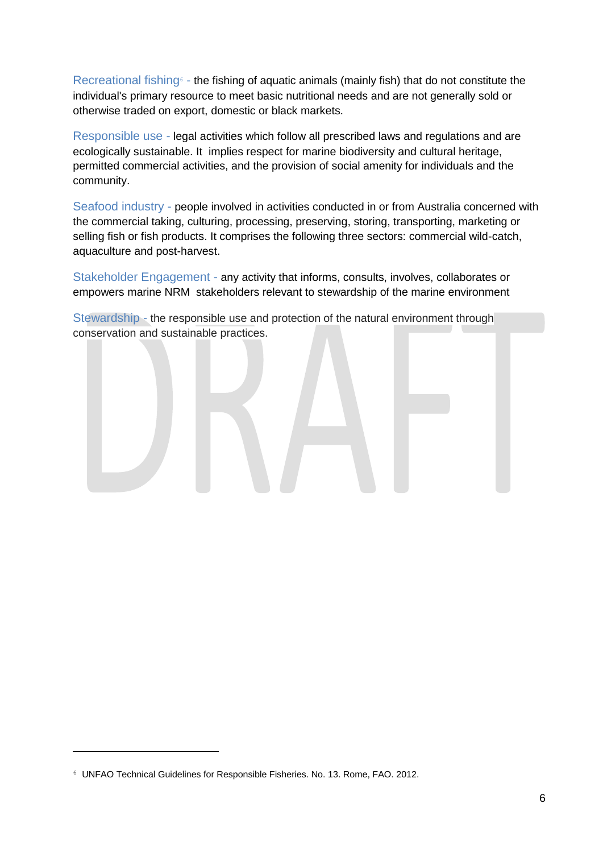Recreational fishing $\epsilon$  - the fishing of aquatic animals (mainly fish) that do not constitute the individual's primary resource to meet basic nutritional needs and are not generally sold or otherwise traded on export, domestic or black markets.

Responsible use - legal activities which follow all prescribed laws and regulations and are ecologically sustainable. It implies respect for marine biodiversity and cultural heritage, permitted commercial activities, and the provision of social amenity for individuals and the community.

Seafood industry - people involved in activities conducted in or from Australia concerned with the commercial taking, culturing, processing, preserving, storing, transporting, marketing or selling fish or fish products. It comprises the following three sectors: commercial wild-catch, aquaculture and post-harvest.

Stakeholder Engagement - any activity that informs, consults, involves, collaborates or empowers marine NRM stakeholders relevant to stewardship of the marine environment

Stewardship - the responsible use and protection of the natural environment through conservation and sustainable practices.

<sup>6</sup> UNFAO Technical Guidelines for Responsible Fisheries. No. 13. Rome, FAO. 2012.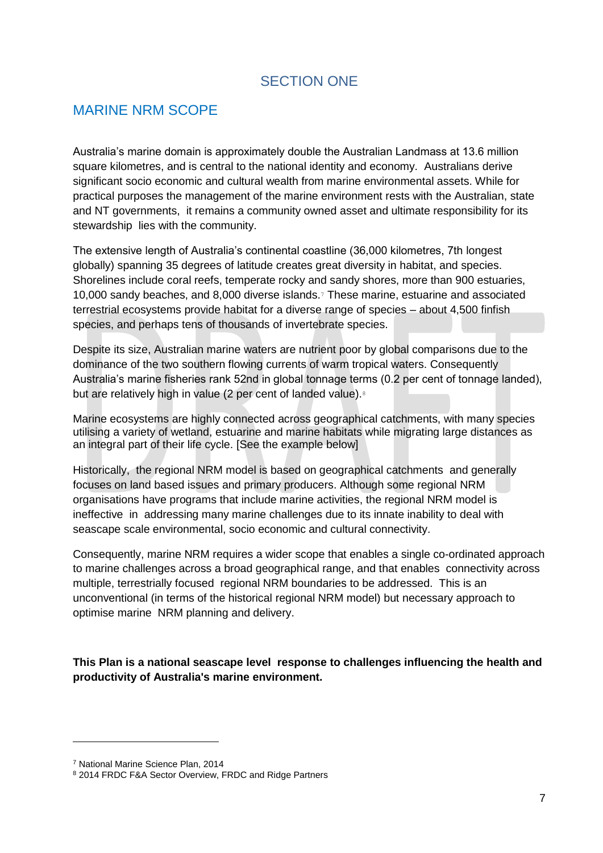## SECTION ONE

## <span id="page-6-1"></span><span id="page-6-0"></span>MARINE NRM SCOPE

Australia's marine domain is approximately double the Australian Landmass at 13.6 million square kilometres, and is central to the national identity and economy. Australians derive significant socio economic and cultural wealth from marine environmental assets. While for practical purposes the management of the marine environment rests with the Australian, state and NT governments, it remains a community owned asset and ultimate responsibility for its stewardship lies with the community.

The extensive length of Australia's continental coastline (36,000 kilometres, 7th longest globally) spanning 35 degrees of latitude creates great diversity in habitat, and species. Shorelines include coral reefs, temperate rocky and sandy shores, more than 900 estuaries, 10,000 sandy beaches, and 8,000 diverse islands. <sup>7</sup> These marine, estuarine and associated terrestrial ecosystems provide habitat for a diverse range of species – about 4,500 finfish species, and perhaps tens of thousands of invertebrate species.

Despite its size, Australian marine waters are nutrient poor by global comparisons due to the dominance of the two southern flowing currents of warm tropical waters. Consequently Australia's marine fisheries rank 52nd in global tonnage terms (0.2 per cent of tonnage landed), but are relatively high in value (2 per cent of landed value).<sup>8</sup>

Marine ecosystems are highly connected across geographical catchments, with many species utilising a variety of wetland, estuarine and marine habitats while migrating large distances as an integral part of their life cycle. [See the example below]

Historically, the regional NRM model is based on geographical catchments and generally focuses on land based issues and primary producers. Although some regional NRM organisations have programs that include marine activities, the regional NRM model is ineffective in addressing many marine challenges due to its innate inability to deal with seascape scale environmental, socio economic and cultural connectivity.

Consequently, marine NRM requires a wider scope that enables a single co-ordinated approach to marine challenges across a broad geographical range, and that enables connectivity across multiple, terrestrially focused regional NRM boundaries to be addressed. This is an unconventional (in terms of the historical regional NRM model) but necessary approach to optimise marine NRM planning and delivery.

**This Plan is a national seascape level response to challenges influencing the health and productivity of Australia's marine environment.**

<sup>7</sup> National Marine Science Plan, 2014

<sup>8</sup> 2014 FRDC F&A Sector Overview, FRDC and Ridge Partners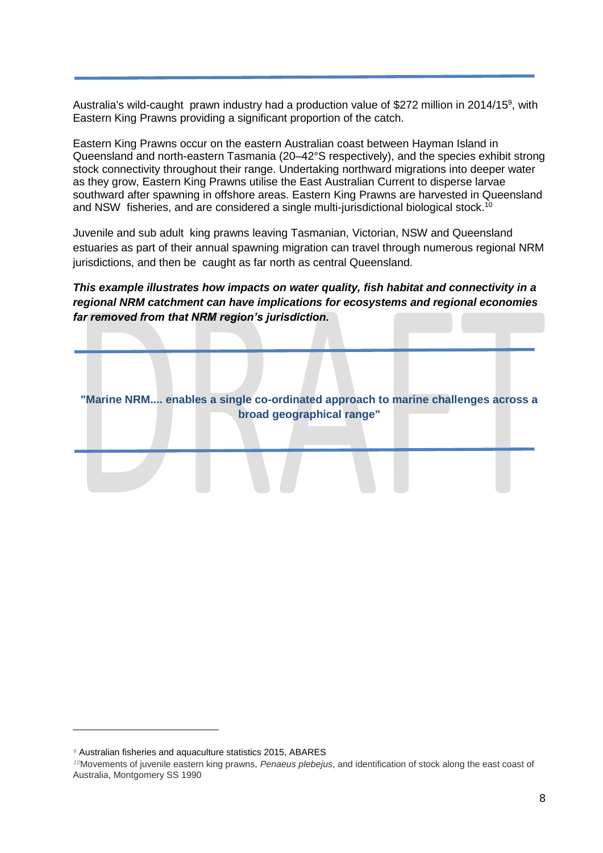Australia's wild-caught prawn industry had a production value of \$272 million in 2014/15<sup>9</sup>, with Eastern King Prawns providing a significant proportion of the catch.

Eastern King Prawns occur on the eastern Australian coast between Hayman Island in Queensland and north-eastern Tasmania (20–42°S respectively), and the species exhibit strong stock connectivity throughout their range. Undertaking northward migrations into deeper water as they grow, Eastern King Prawns utilise the East Australian Current to disperse larvae southward after spawning in offshore areas. Eastern King Prawns are harvested in Queensland and NSW fisheries, and are considered a single multi-jurisdictional biological stock.<sup>10</sup>

Juvenile and sub adult king prawns leaving Tasmanian, Victorian, NSW and Queensland estuaries as part of their annual spawning migration can travel through numerous regional NRM jurisdictions, and then be caught as far north as central Queensland.

*This example illustrates how impacts on water quality, fish habitat and connectivity in a regional NRM catchment can have implications for ecosystems and regional economies far removed from that NRM region's jurisdiction.*

**"Marine NRM.... enables a single co-ordinated approach to marine challenges across a broad geographical range"**

<sup>9</sup> Australian fisheries and aquaculture statistics 2015, ABARES

*<sup>10</sup>*Movements of juvenile eastern king prawns, *Penaeus plebejus*, and identification of stock along the east coast of Australia, Montgomery SS 1990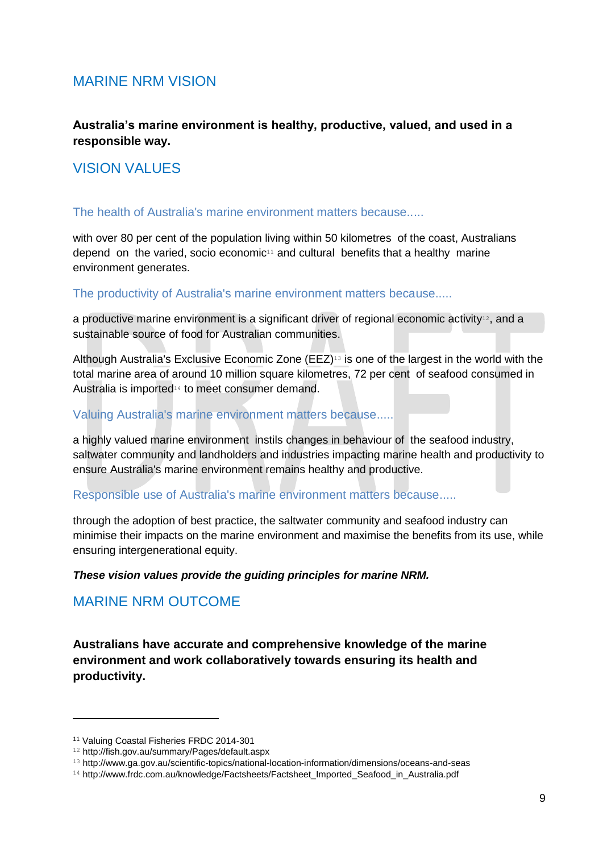## <span id="page-8-0"></span>MARINE NRM VISION

**Australia's marine environment is healthy, productive, valued, and used in a responsible way.**

## <span id="page-8-1"></span>VISION VALUES

#### The health of Australia's marine environment matters because.....

with over 80 per cent of the population living within 50 kilometres of the coast, Australians depend on the varied, socio economic<sup>11</sup> and cultural benefits that a healthy marine environment generates.

The productivity of Australia's marine environment matters because.....

a productive marine environment is a significant driver of regional economic activity<sup>12</sup>, and a sustainable source of food for Australian communities.

Although Australia's Exclusive Economic Zone (EEZ)<sup>13</sup> is one of the largest in the world with the total marine area of around 10 million square kilometres, 72 per cent of seafood consumed in Australia is imported<sup>14</sup> to meet consumer demand.

#### Valuing Australia's marine environment matters because.....

a highly valued marine environment instils changes in behaviour of the seafood industry, saltwater community and landholders and industries impacting marine health and productivity to ensure Australia's marine environment remains healthy and productive.

Responsible use of Australia's marine environment matters because.....

through the adoption of best practice, the saltwater community and seafood industry can minimise their impacts on the marine environment and maximise the benefits from its use, while ensuring intergenerational equity.

#### *These vision values provide the guiding principles for marine NRM.*

## <span id="page-8-2"></span>MARINE NRM OUTCOME

**Australians have accurate and comprehensive knowledge of the marine environment and work collaboratively towards ensuring its health and productivity.**

<sup>11</sup> Valuing Coastal Fisheries FRDC 2014-301

<sup>12</sup> http://fish.gov.au/summary/Pages/default.aspx

<sup>13</sup> http://www.ga.gov.au/scientific-topics/national-location-information/dimensions/oceans-and-seas

<sup>14</sup> http://www.frdc.com.au/knowledge/Factsheets/Factsheet\_Imported\_Seafood\_in\_Australia.pdf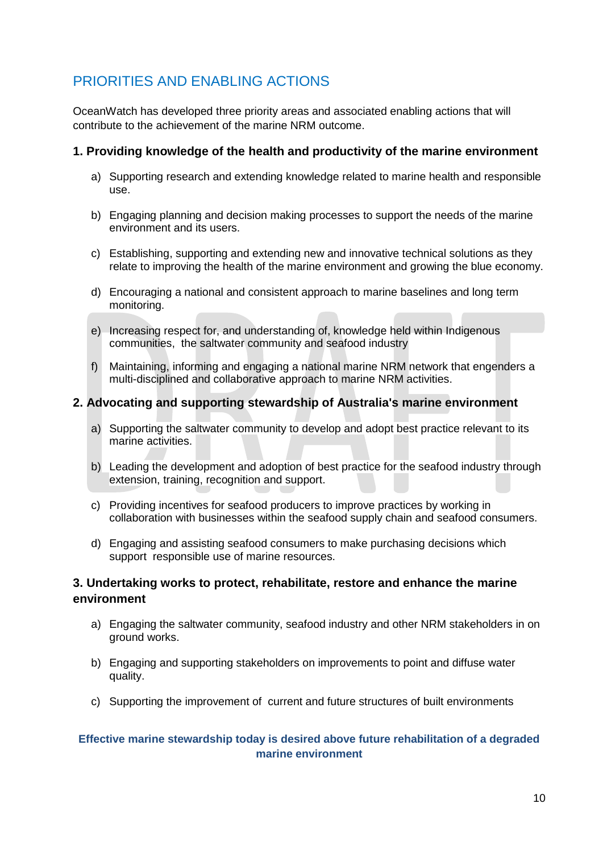## <span id="page-9-0"></span>PRIORITIES AND ENABLING ACTIONS

OceanWatch has developed three priority areas and associated enabling actions that will contribute to the achievement of the marine NRM outcome.

#### **1. Providing knowledge of the health and productivity of the marine environment**

- a) Supporting research and extending knowledge related to marine health and responsible use.
- b) Engaging planning and decision making processes to support the needs of the marine environment and its users.
- c) Establishing, supporting and extending new and innovative technical solutions as they relate to improving the health of the marine environment and growing the blue economy.
- d) Encouraging a national and consistent approach to marine baselines and long term monitoring.
- e) Increasing respect for, and understanding of, knowledge held within Indigenous communities, the saltwater community and seafood industry
- f) Maintaining, informing and engaging a national marine NRM network that engenders a multi-disciplined and collaborative approach to marine NRM activities.

#### **2. Advocating and supporting stewardship of Australia's marine environment**

- a) Supporting the saltwater community to develop and adopt best practice relevant to its marine activities.
- b) Leading the development and adoption of best practice for the seafood industry through extension, training, recognition and support.
- c) Providing incentives for seafood producers to improve practices by working in collaboration with businesses within the seafood supply chain and seafood consumers.
- d) Engaging and assisting seafood consumers to make purchasing decisions which support responsible use of marine resources.

#### **3. Undertaking works to protect, rehabilitate, restore and enhance the marine environment**

- a) Engaging the saltwater community, seafood industry and other NRM stakeholders in on ground works.
- b) Engaging and supporting stakeholders on improvements to point and diffuse water quality.
- c) Supporting the improvement of current and future structures of built environments

#### **Effective marine stewardship today is desired above future rehabilitation of a degraded marine environment**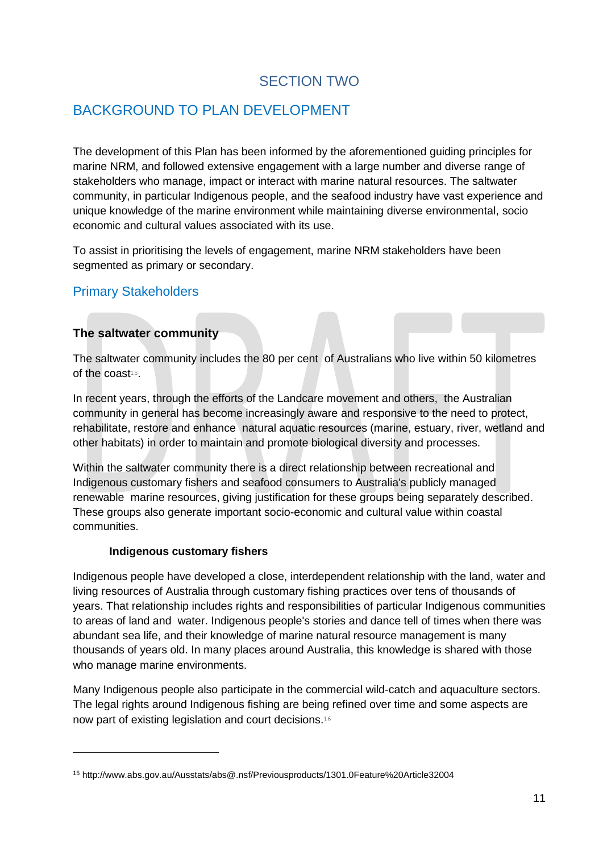## SECTION TWO

## <span id="page-10-1"></span><span id="page-10-0"></span>BACKGROUND TO PLAN DEVELOPMENT

The development of this Plan has been informed by the aforementioned guiding principles for marine NRM, and followed extensive engagement with a large number and diverse range of stakeholders who manage, impact or interact with marine natural resources. The saltwater community, in particular Indigenous people, and the seafood industry have vast experience and unique knowledge of the marine environment while maintaining diverse environmental, socio economic and cultural values associated with its use.

To assist in prioritising the levels of engagement, marine NRM stakeholders have been segmented as primary or secondary.

## <span id="page-10-2"></span>Primary Stakeholders

#### **The saltwater community**

The saltwater community includes the 80 per cent of Australians who live within 50 kilometres of the coast<sup>15</sup>.

In recent years, through the efforts of the Landcare movement and others, the Australian community in general has become increasingly aware and responsive to the need to protect, rehabilitate, restore and enhance natural aquatic resources (marine, estuary, river, wetland and other habitats) in order to maintain and promote biological diversity and processes.

Within the saltwater community there is a direct relationship between recreational and Indigenous customary fishers and seafood consumers to Australia's publicly managed renewable marine resources, giving justification for these groups being separately described. These groups also generate important socio-economic and cultural value within coastal communities.

#### **Indigenous customary fishers**

-

Indigenous people have developed a close, interdependent relationship with the land, water and living resources of Australia through customary fishing practices over tens of thousands of years. That relationship includes rights and responsibilities of particular Indigenous communities to areas of land and water. Indigenous people's stories and dance tell of times when there was abundant sea life, and their knowledge of marine natural resource management is many thousands of years old. In many places around Australia, this knowledge is shared with those who manage marine environments.

Many Indigenous people also participate in the commercial wild-catch and aquaculture sectors. The legal rights around Indigenous fishing are being refined over time and some aspects are now part of existing legislation and court decisions.<sup>16</sup>

<sup>15</sup> http://www.abs.gov.au/Ausstats/abs@.nsf/Previousproducts/1301.0Feature%20Article32004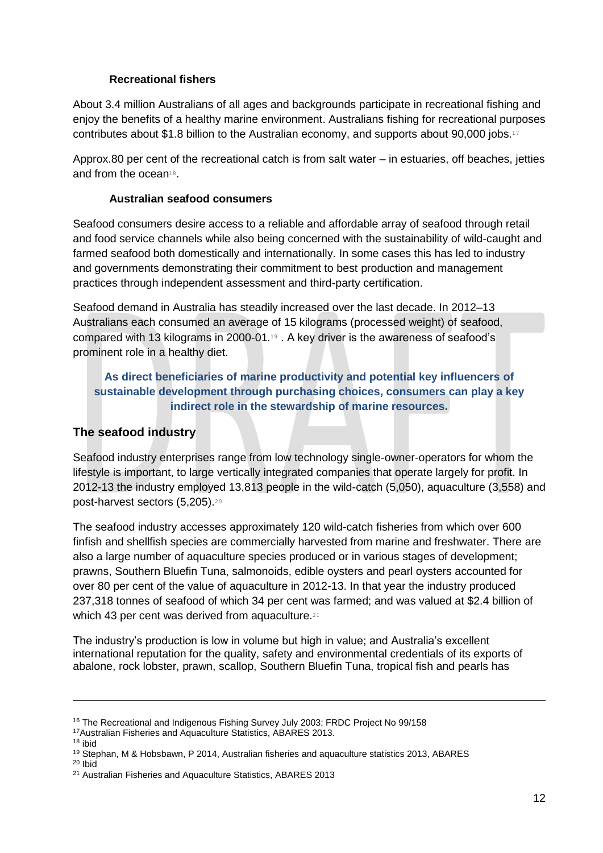#### **Recreational fishers**

About 3.4 million Australians of all ages and backgrounds participate in recreational fishing and enjoy the benefits of a healthy marine environment. Australians fishing for recreational purposes contributes about \$1.8 billion to the Australian economy, and supports about 90,000 jobs.<sup>17</sup>

Approx.80 per cent of the recreational catch is from salt water – in estuaries, off beaches, jetties and from the ocean<sup>18</sup>.

#### **Australian seafood consumers**

Seafood consumers desire access to a reliable and affordable array of seafood through retail and food service channels while also being concerned with the sustainability of wild-caught and farmed seafood both domestically and internationally. In some cases this has led to industry and governments demonstrating their commitment to best production and management practices through independent assessment and third-party certification.

Seafood demand in Australia has steadily increased over the last decade. In 2012–13 Australians each consumed an average of 15 kilograms (processed weight) of seafood, compared with 13 kilograms in 2000-01. <sup>19</sup> . A key driver is the awareness of seafood's prominent role in a healthy diet.

#### **As direct beneficiaries of marine productivity and potential key influencers of sustainable development through purchasing choices, consumers can play a key indirect role in the stewardship of marine resources.**

#### **The seafood industry**

Seafood industry enterprises range from low technology single-owner-operators for whom the lifestyle is important, to large vertically integrated companies that operate largely for profit. In 2012-13 the industry employed 13,813 people in the wild-catch (5,050), aquaculture (3,558) and post-harvest sectors (5,205).<sup>20</sup>

The seafood industry accesses approximately 120 wild-catch fisheries from which over 600 finfish and shellfish species are commercially harvested from marine and freshwater. There are also a large number of aquaculture species produced or in various stages of development; prawns, Southern Bluefin Tuna, salmonoids, edible oysters and pearl oysters accounted for over 80 per cent of the value of aquaculture in 2012-13. In that year the industry produced 237,318 tonnes of seafood of which 34 per cent was farmed; and was valued at \$2.4 billion of which 43 per cent was derived from aquaculture.<sup>21</sup>

The industry's production is low in volume but high in value; and Australia's excellent international reputation for the quality, safety and environmental credentials of its exports of abalone, rock lobster, prawn, scallop, Southern Bluefin Tuna, tropical fish and pearls has

<sup>16</sup> The Recreational and Indigenous Fishing Survey July 2003; FRDC Project No 99/158

<sup>17</sup>Australian Fisheries and Aquaculture Statistics, ABARES 2013.

<sup>18</sup> ibid

<sup>19</sup> Stephan, M & Hobsbawn, P 2014, Australian fisheries and aquaculture statistics 2013, ABARES

<sup>20</sup> Ibid

<sup>21</sup> Australian Fisheries and Aquaculture Statistics, ABARES 2013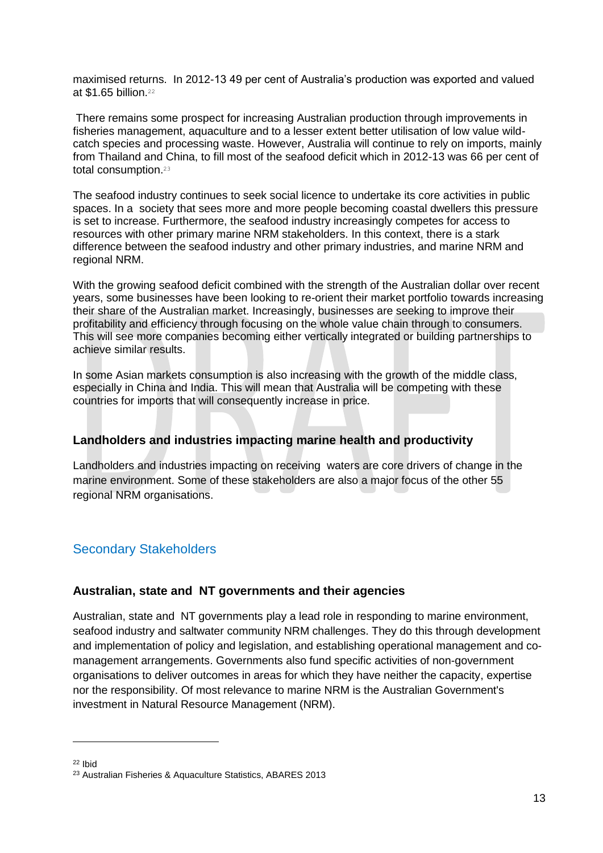maximised returns. In 2012-13 49 per cent of Australia's production was exported and valued at \$1.65 billion.<sup>22</sup>

There remains some prospect for increasing Australian production through improvements in fisheries management, aquaculture and to a lesser extent better utilisation of low value wildcatch species and processing waste. However, Australia will continue to rely on imports, mainly from Thailand and China, to fill most of the seafood deficit which in 2012-13 was 66 per cent of total consumption.<sup>23</sup>

The seafood industry continues to seek social licence to undertake its core activities in public spaces. In a society that sees more and more people becoming coastal dwellers this pressure is set to increase. Furthermore, the seafood industry increasingly competes for access to resources with other primary marine NRM stakeholders. In this context, there is a stark difference between the seafood industry and other primary industries, and marine NRM and regional NRM.

With the growing seafood deficit combined with the strength of the Australian dollar over recent years, some businesses have been looking to re-orient their market portfolio towards increasing their share of the Australian market. Increasingly, businesses are seeking to improve their profitability and efficiency through focusing on the whole value chain through to consumers. This will see more companies becoming either vertically integrated or building partnerships to achieve similar results.

In some Asian markets consumption is also increasing with the growth of the middle class, especially in China and India. This will mean that Australia will be competing with these countries for imports that will consequently increase in price.

#### **Landholders and industries impacting marine health and productivity**

Landholders and industries impacting on receiving waters are core drivers of change in the marine environment. Some of these stakeholders are also a major focus of the other 55 regional NRM organisations.

## <span id="page-12-0"></span>Secondary Stakeholders

#### **Australian, state and NT governments and their agencies**

Australian, state and NT governments play a lead role in responding to marine environment, seafood industry and saltwater community NRM challenges. They do this through development and implementation of policy and legislation, and establishing operational management and comanagement arrangements. Governments also fund specific activities of non-government organisations to deliver outcomes in areas for which they have neither the capacity, expertise nor the responsibility. Of most relevance to marine NRM is the Australian Government's investment in Natural Resource Management (NRM).

<sup>22</sup> Ibid

<sup>23</sup> Australian Fisheries & Aquaculture Statistics, ABARES 2013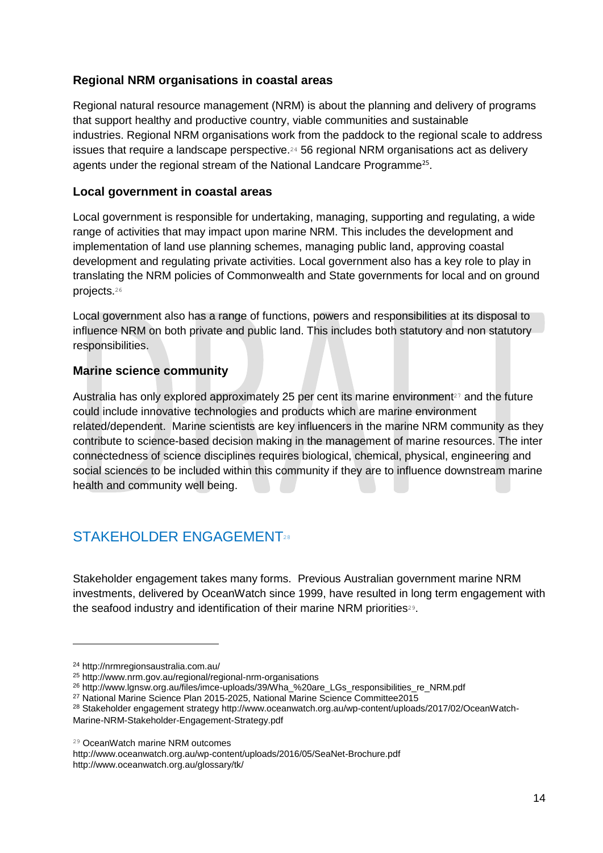#### **Regional NRM organisations in coastal areas**

Regional natural resource management (NRM) is about the planning and delivery of programs that support healthy and productive country, viable communities and sustainable industries. Regional NRM organisations work from the paddock to the regional scale to address issues that require a landscape perspective.<sup>24</sup> 56 regional NRM organisations act as delivery agents under the regional stream of the National Landcare Programme<sup>25</sup>.

#### **Local government in coastal areas**

Local government is responsible for undertaking, managing, supporting and regulating, a wide range of activities that may impact upon marine NRM. This includes the development and implementation of land use planning schemes, managing public land, approving coastal development and regulating private activities. Local government also has a key role to play in translating the NRM policies of Commonwealth and State governments for local and on ground projects.<sup>26</sup>

Local government also has a range of functions, powers and responsibilities at its disposal to influence NRM on both private and public land. This includes both statutory and non statutory responsibilities.

#### **Marine science community**

Australia has only explored approximately 25 per cent its marine environment<sup>27</sup> and the future could include innovative technologies and products which are marine environment related/dependent. Marine scientists are key influencers in the marine NRM community as they contribute to science-based decision making in the management of marine resources. The inter connectedness of science disciplines requires biological, chemical, physical, engineering and social sciences to be included within this community if they are to influence downstream marine health and community well being.

## <span id="page-13-0"></span>STAKEHOLDER ENGAGEMENT28

Stakeholder engagement takes many forms. Previous Australian government marine NRM investments, delivered by OceanWatch since 1999, have resulted in long term engagement with the seafood industry and identification of their marine NRM priorities<sup>29</sup>.

-

http://www.oceanwatch.org.au/wp-content/uploads/2016/05/SeaNet-Brochure.pdf http://www.oceanwatch.org.au/glossary/tk/

<sup>24</sup> http://nrmregionsaustralia.com.au/

<sup>25</sup> http://www.nrm.gov.au/regional/regional-nrm-organisations

<sup>26</sup> http://www.lgnsw.org.au/files/imce-uploads/39/Wha\_%20are\_LGs\_responsibilities\_re\_NRM.pdf

<sup>27</sup> National Marine Science Plan 2015-2025, National Marine Science Committee2015

<sup>28</sup> Stakeholder engagement strategy http://www.oceanwatch.org.au/wp-content/uploads/2017/02/OceanWatch-Marine-NRM-Stakeholder-Engagement-Strategy.pdf

<sup>29</sup> OceanWatch marine NRM outcomes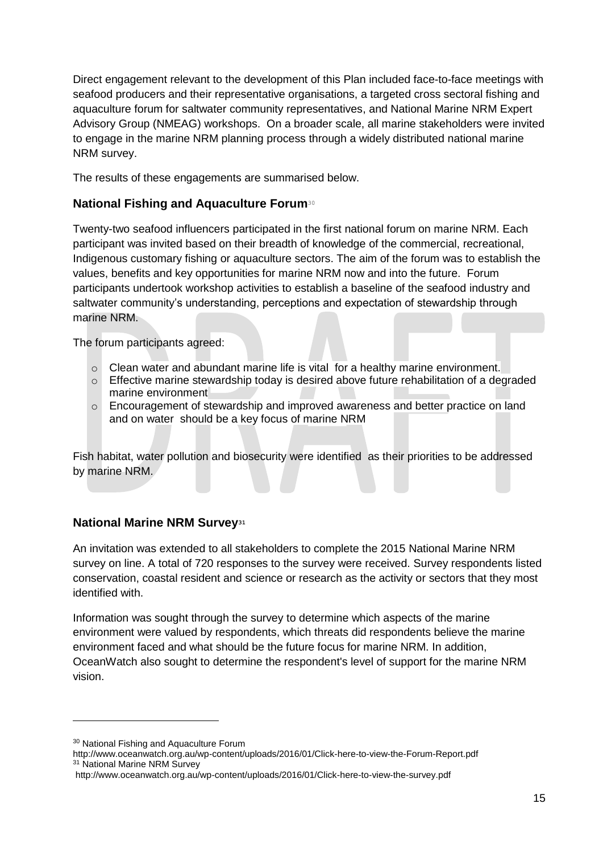Direct engagement relevant to the development of this Plan included face-to-face meetings with seafood producers and their representative organisations, a targeted cross sectoral fishing and aquaculture forum for saltwater community representatives, and National Marine NRM Expert Advisory Group (NMEAG) workshops. On a broader scale, all marine stakeholders were invited to engage in the marine NRM planning process through a widely distributed national marine NRM survey.

The results of these engagements are summarised below.

#### **National Fishing and Aquaculture Forum**<sup>30</sup>

Twenty-two seafood influencers participated in the first national forum on marine NRM. Each participant was invited based on their breadth of knowledge of the commercial, recreational, Indigenous customary fishing or aquaculture sectors. The aim of the forum was to establish the values, benefits and key opportunities for marine NRM now and into the future. Forum participants undertook workshop activities to establish a baseline of the seafood industry and saltwater community's understanding, perceptions and expectation of stewardship through marine NRM.

The forum participants agreed:

- $\circ$  Clean water and abundant marine life is vital for a healthy marine environment.
- o Effective marine stewardship today is desired above future rehabilitation of a degraded marine environment
- o Encouragement of stewardship and improved awareness and better practice on land and on water should be a key focus of marine NRM

Fish habitat, water pollution and biosecurity were identified as their priorities to be addressed by marine NRM.

#### **National Marine NRM Survey<sup>31</sup>**

An invitation was extended to all stakeholders to complete the 2015 National Marine NRM survey on line. A total of 720 responses to the survey were received. Survey respondents listed conservation, coastal resident and science or research as the activity or sectors that they most identified with.

Information was sought through the survey to determine which aspects of the marine environment were valued by respondents, which threats did respondents believe the marine environment faced and what should be the future focus for marine NRM. In addition, OceanWatch also sought to determine the respondent's level of support for the marine NRM vision.

<sup>30</sup> National Fishing and Aquaculture Forum

http://www.oceanwatch.org.au/wp-content/uploads/2016/01/Click-here-to-view-the-Forum-Report.pdf <sup>31</sup> National Marine NRM Survey

http://www.oceanwatch.org.au/wp-content/uploads/2016/01/Click-here-to-view-the-survey.pdf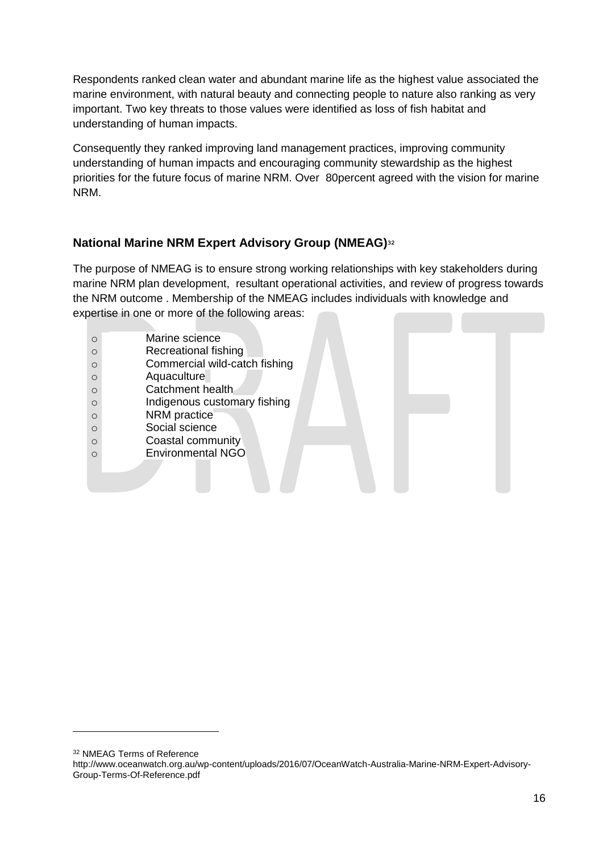Respondents ranked clean water and abundant marine life as the highest value associated the marine environment, with natural beauty and connecting people to nature also ranking as very important. Two key threats to those values were identified as loss of fish habitat and understanding of human impacts.

Consequently they ranked improving land management practices, improving community understanding of human impacts and encouraging community stewardship as the highest priorities for the future focus of marine NRM. Over 80percent agreed with the vision for marine NRM.

#### **National Marine NRM Expert Advisory Group (NMEAG)<sup>32</sup>**

The purpose of NMEAG is to ensure strong working relationships with key stakeholders during marine NRM plan development, resultant operational activities, and review of progress towards the NRM outcome . Membership of the NMEAG includes individuals with knowledge and expertise in one or more of the following areas:

| $\circ$  | Marine science                |
|----------|-------------------------------|
| $\circ$  | Recreational fishing          |
| $\circ$  | Commercial wild-catch fishing |
| $\circ$  | Aquaculture                   |
| $\Omega$ | Catchment health              |
| $\circ$  | Indigenous customary fishing  |
| $\circ$  | NRM practice                  |
| $\circ$  | Social science                |
| $\circ$  | Coastal community             |
| $\Omega$ | <b>Environmental NGO</b>      |
|          |                               |
|          |                               |
|          |                               |

<sup>32</sup> NMEAG Terms of Reference

http://www.oceanwatch.org.au/wp-content/uploads/2016/07/OceanWatch-Australia-Marine-NRM-Expert-Advisory-Group-Terms-Of-Reference.pdf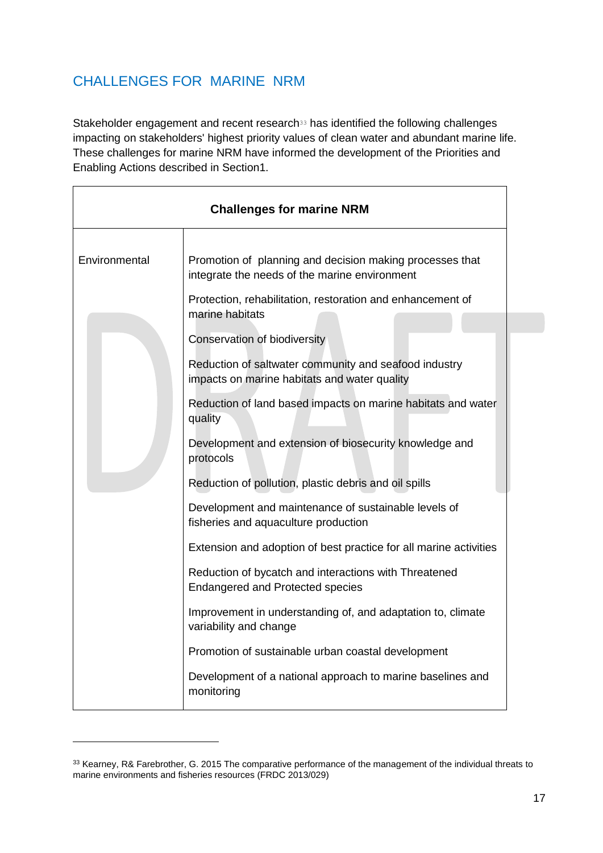## <span id="page-16-0"></span>CHALLENGES FOR MARINE NRM

Stakeholder engagement and recent research<sup>33</sup> has identified the following challenges impacting on stakeholders' highest priority values of clean water and abundant marine life. These challenges for marine NRM have informed the development of the Priorities and Enabling Actions described in Section1.

| <b>Challenges for marine NRM</b> |                                                                                                       |
|----------------------------------|-------------------------------------------------------------------------------------------------------|
| Environmental                    | Promotion of planning and decision making processes that                                              |
|                                  | integrate the needs of the marine environment                                                         |
|                                  | Protection, rehabilitation, restoration and enhancement of<br>marine habitats                         |
|                                  | Conservation of biodiversity                                                                          |
|                                  | Reduction of saltwater community and seafood industry<br>impacts on marine habitats and water quality |
|                                  | Reduction of land based impacts on marine habitats and water<br>quality                               |
|                                  | Development and extension of biosecurity knowledge and<br>protocols                                   |
|                                  | Reduction of pollution, plastic debris and oil spills                                                 |
|                                  | Development and maintenance of sustainable levels of<br>fisheries and aquaculture production          |
|                                  | Extension and adoption of best practice for all marine activities                                     |
|                                  | Reduction of bycatch and interactions with Threatened<br><b>Endangered and Protected species</b>      |
|                                  | Improvement in understanding of, and adaptation to, climate<br>variability and change                 |
|                                  | Promotion of sustainable urban coastal development                                                    |
|                                  | Development of a national approach to marine baselines and<br>monitoring                              |

<sup>33</sup> Kearney, R& Farebrother, G. 2015 The comparative performance of the management of the individual threats to marine environments and fisheries resources (FRDC 2013/029)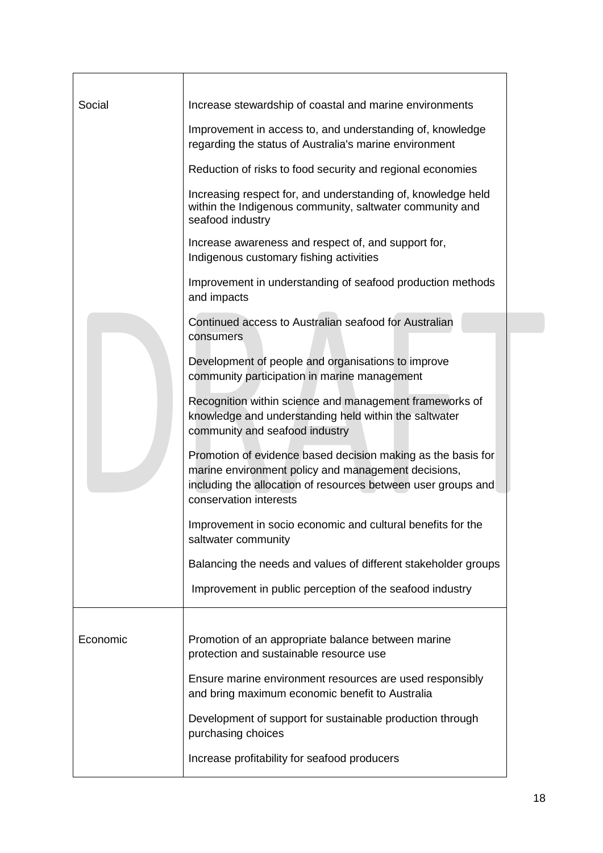| Social   | Increase stewardship of coastal and marine environments                                                                                                                                                        |
|----------|----------------------------------------------------------------------------------------------------------------------------------------------------------------------------------------------------------------|
|          | Improvement in access to, and understanding of, knowledge<br>regarding the status of Australia's marine environment                                                                                            |
|          | Reduction of risks to food security and regional economies                                                                                                                                                     |
|          | Increasing respect for, and understanding of, knowledge held<br>within the Indigenous community, saltwater community and<br>seafood industry                                                                   |
|          | Increase awareness and respect of, and support for,<br>Indigenous customary fishing activities                                                                                                                 |
|          | Improvement in understanding of seafood production methods<br>and impacts                                                                                                                                      |
|          | Continued access to Australian seafood for Australian<br>consumers                                                                                                                                             |
|          | Development of people and organisations to improve<br>community participation in marine management                                                                                                             |
|          | Recognition within science and management frameworks of<br>knowledge and understanding held within the saltwater<br>community and seafood industry                                                             |
|          | Promotion of evidence based decision making as the basis for<br>marine environment policy and management decisions,<br>including the allocation of resources between user groups and<br>conservation interests |
|          | Improvement in socio economic and cultural benefits for the<br>saltwater community                                                                                                                             |
|          | Balancing the needs and values of different stakeholder groups                                                                                                                                                 |
|          | Improvement in public perception of the seafood industry                                                                                                                                                       |
|          |                                                                                                                                                                                                                |
| Economic | Promotion of an appropriate balance between marine<br>protection and sustainable resource use                                                                                                                  |
|          | Ensure marine environment resources are used responsibly<br>and bring maximum economic benefit to Australia                                                                                                    |
|          | Development of support for sustainable production through<br>purchasing choices                                                                                                                                |
|          | Increase profitability for seafood producers                                                                                                                                                                   |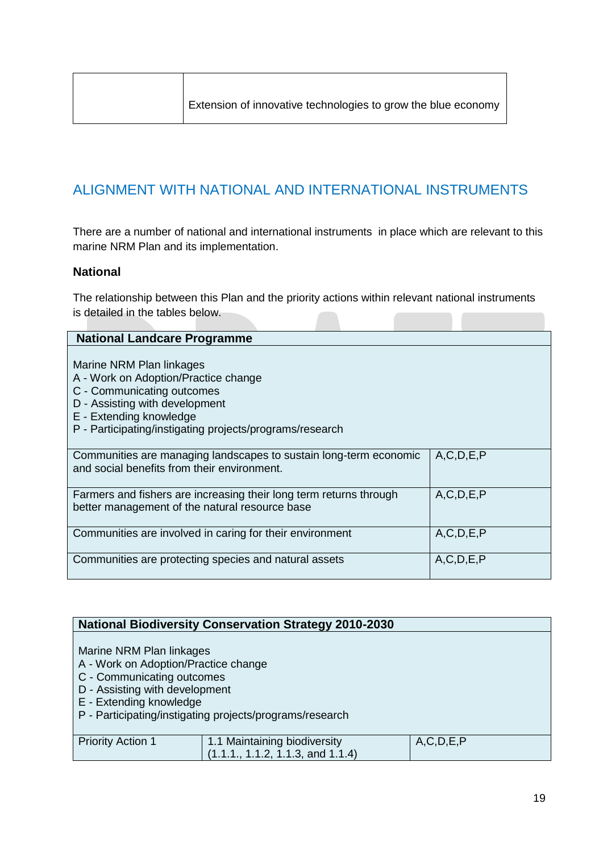## <span id="page-18-0"></span>ALIGNMENT WITH NATIONAL AND INTERNATIONAL INSTRUMENTS

There are a number of national and international instruments in place which are relevant to this marine NRM Plan and its implementation.

#### **National**

The relationship between this Plan and the priority actions within relevant national instruments is detailed in the tables below.

| <b>National Landcare Programme</b>                                                                                                                                                                                      |               |
|-------------------------------------------------------------------------------------------------------------------------------------------------------------------------------------------------------------------------|---------------|
| Marine NRM Plan linkages<br>A - Work on Adoption/Practice change<br>C - Communicating outcomes<br>D - Assisting with development<br>E - Extending knowledge<br>P - Participating/instigating projects/programs/research |               |
| Communities are managing landscapes to sustain long-term economic<br>and social benefits from their environment.                                                                                                        | A, C, D, E, P |
| Farmers and fishers are increasing their long term returns through<br>better management of the natural resource base                                                                                                    | A, C, D, E, P |
| Communities are involved in caring for their environment                                                                                                                                                                | A, C, D, E, P |
| Communities are protecting species and natural assets                                                                                                                                                                   | A, C, D, E, P |

| <b>National Biodiversity Conservation Strategy 2010-2030</b> |                                   |               |  |
|--------------------------------------------------------------|-----------------------------------|---------------|--|
|                                                              |                                   |               |  |
| Marine NRM Plan linkages                                     |                                   |               |  |
| A - Work on Adoption/Practice change                         |                                   |               |  |
| C - Communicating outcomes                                   |                                   |               |  |
| D - Assisting with development                               |                                   |               |  |
| E - Extending knowledge                                      |                                   |               |  |
| P - Participating/instigating projects/programs/research     |                                   |               |  |
|                                                              |                                   |               |  |
| <b>Priority Action 1</b>                                     | 1.1 Maintaining biodiversity      | A, C, D, E, P |  |
|                                                              | (1.1.1., 1.1.2, 1.1.3, and 1.1.4) |               |  |
|                                                              |                                   |               |  |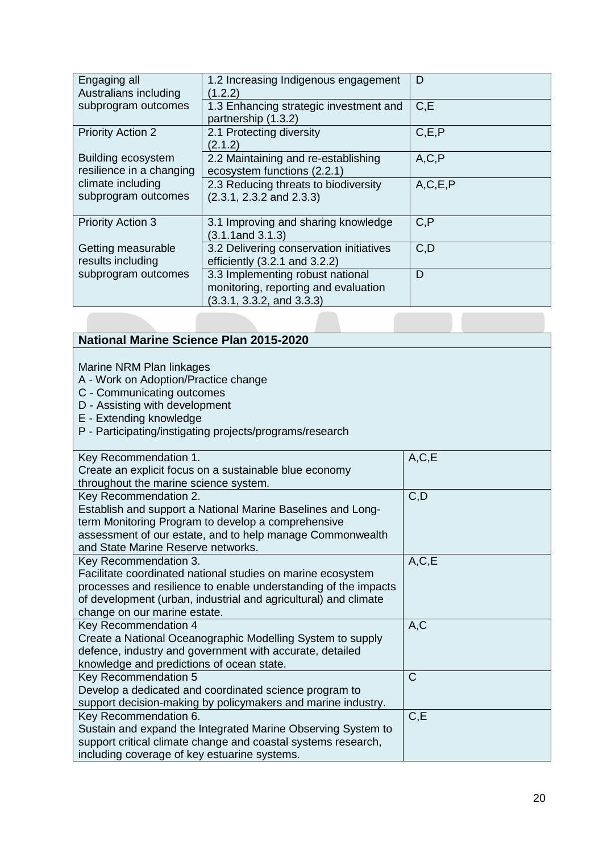| Engaging all<br>Australians including                 | 1.2 Increasing Indigenous engagement<br>1.2.2)                                                        | D          |
|-------------------------------------------------------|-------------------------------------------------------------------------------------------------------|------------|
| subprogram outcomes                                   | 1.3 Enhancing strategic investment and<br>partnership (1.3.2)                                         | C.E        |
| <b>Priority Action 2</b>                              | 2.1 Protecting diversity<br>(2.1.2)                                                                   | C, E, P    |
| <b>Building ecosystem</b><br>resilience in a changing | 2.2 Maintaining and re-establishing<br>ecosystem functions (2.2.1)                                    | A, C, P    |
| climate including<br>subprogram outcomes              | 2.3 Reducing threats to biodiversity<br>(2.3.1, 2.3.2, and 2.3.3)                                     | A, C, E, P |
| <b>Priority Action 3</b>                              | 3.1 Improving and sharing knowledge<br>$(3.1.1$ and $3.1.3)$                                          | C, P       |
| Getting measurable<br>results including               | 3.2 Delivering conservation initiatives<br>efficiently $(3.2.1$ and $3.2.2)$                          | C, D       |
| subprogram outcomes                                   | 3.3 Implementing robust national<br>monitoring, reporting and evaluation<br>(3.3.1, 3.3.2, and 3.3.3) | D          |

| <b>National Marine Science Plan 2015-2020</b>                                                                                                                                                                                                              |              |
|------------------------------------------------------------------------------------------------------------------------------------------------------------------------------------------------------------------------------------------------------------|--------------|
| Marine NRM Plan linkages<br>A - Work on Adoption/Practice change<br>C - Communicating outcomes<br>D - Assisting with development<br>E - Extending knowledge<br>P - Participating/instigating projects/programs/research                                    |              |
| Key Recommendation 1.<br>Create an explicit focus on a sustainable blue economy<br>throughout the marine science system.                                                                                                                                   | A, C, E      |
| Key Recommendation 2.<br>Establish and support a National Marine Baselines and Long-<br>term Monitoring Program to develop a comprehensive<br>assessment of our estate, and to help manage Commonwealth<br>and State Marine Reserve networks.              | C, D         |
| Key Recommendation 3.<br>Facilitate coordinated national studies on marine ecosystem<br>processes and resilience to enable understanding of the impacts<br>of development (urban, industrial and agricultural) and climate<br>change on our marine estate. | A, C, E      |
| Key Recommendation 4<br>Create a National Oceanographic Modelling System to supply<br>defence, industry and government with accurate, detailed<br>knowledge and predictions of ocean state.                                                                | A, C         |
| Key Recommendation 5<br>Develop a dedicated and coordinated science program to<br>support decision-making by policymakers and marine industry.                                                                                                             | $\mathsf{C}$ |
| Key Recommendation 6.<br>Sustain and expand the Integrated Marine Observing System to<br>support critical climate change and coastal systems research,<br>including coverage of key estuarine systems.                                                     | C, E         |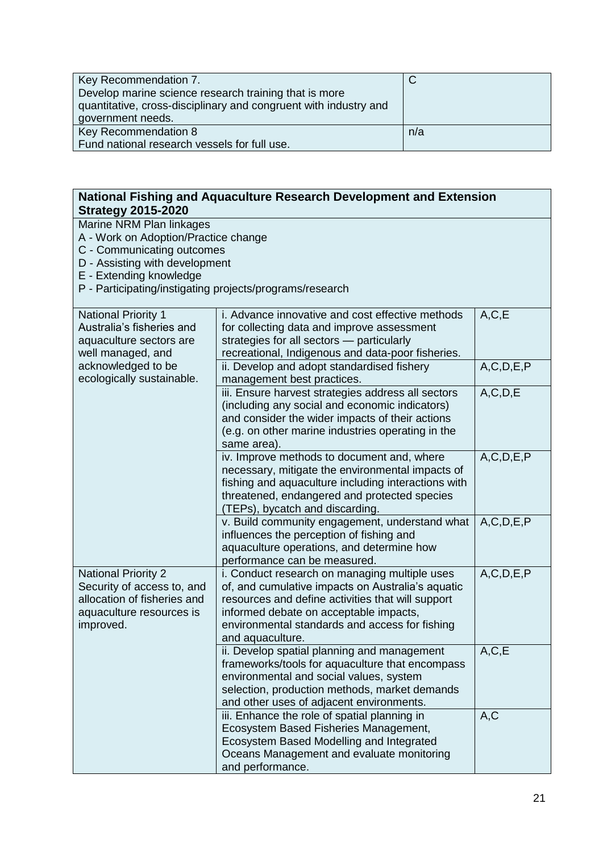| Key Recommendation 7.                                            |     |
|------------------------------------------------------------------|-----|
| Develop marine science research training that is more            |     |
| quantitative, cross-disciplinary and congruent with industry and |     |
| government needs.                                                |     |
| Key Recommendation 8                                             | n/a |
| Fund national research vessels for full use.                     |     |

| National Fishing and Aquaculture Research Development and Extension<br><b>Strategy 2015-2020</b>                                                            |                                                                                                                                                                                                                                                                         |               |  |
|-------------------------------------------------------------------------------------------------------------------------------------------------------------|-------------------------------------------------------------------------------------------------------------------------------------------------------------------------------------------------------------------------------------------------------------------------|---------------|--|
| Marine NRM Plan linkages<br>A - Work on Adoption/Practice change<br>C - Communicating outcomes<br>D - Assisting with development<br>E - Extending knowledge | P - Participating/instigating projects/programs/research                                                                                                                                                                                                                |               |  |
| <b>National Priority 1</b><br>Australia's fisheries and<br>aquaculture sectors are<br>well managed, and                                                     | i. Advance innovative and cost effective methods<br>for collecting data and improve assessment<br>strategies for all sectors - particularly<br>recreational, Indigenous and data-poor fisheries.                                                                        | A, C, E       |  |
| acknowledged to be<br>ecologically sustainable.                                                                                                             | ii. Develop and adopt standardised fishery<br>management best practices.                                                                                                                                                                                                | A, C, D, E, P |  |
|                                                                                                                                                             | iii. Ensure harvest strategies address all sectors<br>(including any social and economic indicators)<br>and consider the wider impacts of their actions<br>(e.g. on other marine industries operating in the<br>same area).                                             | A, C, D, E    |  |
|                                                                                                                                                             | iv. Improve methods to document and, where<br>necessary, mitigate the environmental impacts of<br>fishing and aquaculture including interactions with<br>threatened, endangered and protected species<br>(TEPs), bycatch and discarding.                                | A, C, D, E, P |  |
|                                                                                                                                                             | v. Build community engagement, understand what<br>influences the perception of fishing and<br>aquaculture operations, and determine how<br>performance can be measured.                                                                                                 | A, C, D, E, P |  |
| <b>National Priority 2</b><br>Security of access to, and<br>allocation of fisheries and<br>aquaculture resources is<br>improved.                            | i. Conduct research on managing multiple uses<br>of, and cumulative impacts on Australia's aquatic<br>resources and define activities that will support<br>informed debate on acceptable impacts,<br>environmental standards and access for fishing<br>and aquaculture. | A, C, D, E, P |  |
|                                                                                                                                                             | ii. Develop spatial planning and management<br>frameworks/tools for aquaculture that encompass<br>environmental and social values, system<br>selection, production methods, market demands<br>and other uses of adjacent environments.                                  | A, C, E       |  |
|                                                                                                                                                             | iii. Enhance the role of spatial planning in<br>Ecosystem Based Fisheries Management,<br>Ecosystem Based Modelling and Integrated<br>Oceans Management and evaluate monitoring<br>and performance.                                                                      | A, C          |  |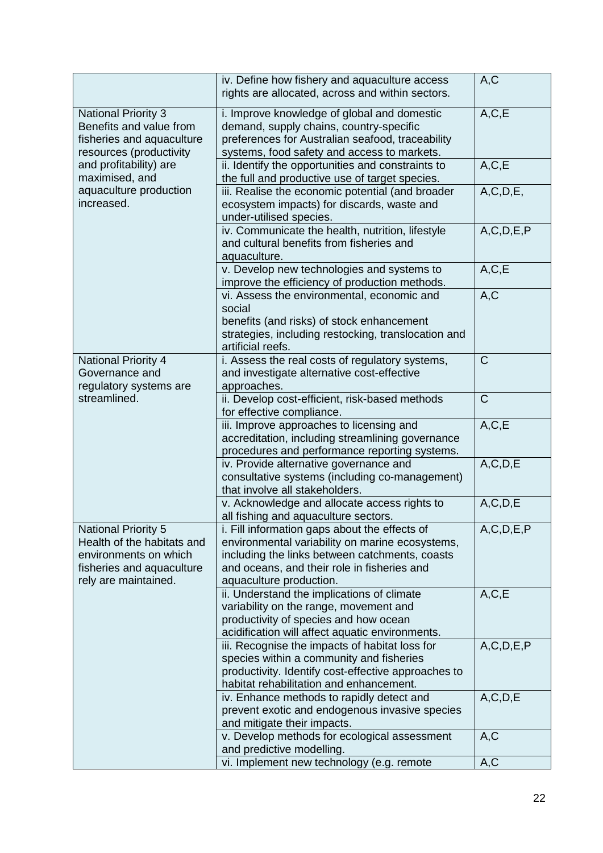|                                                                                                                                        | iv. Define how fishery and aquaculture access<br>rights are allocated, across and within sectors.                                                                                                                            | A, C          |
|----------------------------------------------------------------------------------------------------------------------------------------|------------------------------------------------------------------------------------------------------------------------------------------------------------------------------------------------------------------------------|---------------|
| <b>National Priority 3</b><br>Benefits and value from<br>fisheries and aquaculture<br>resources (productivity                          | i. Improve knowledge of global and domestic<br>demand, supply chains, country-specific<br>preferences for Australian seafood, traceability<br>systems, food safety and access to markets.                                    | A, C, E       |
| and profitability) are<br>maximised, and                                                                                               | ii. Identify the opportunities and constraints to<br>the full and productive use of target species.                                                                                                                          | A, C, E       |
| aquaculture production<br>increased.                                                                                                   | iii. Realise the economic potential (and broader<br>ecosystem impacts) for discards, waste and<br>under-utilised species.                                                                                                    | A, C, D, E,   |
|                                                                                                                                        | iv. Communicate the health, nutrition, lifestyle<br>and cultural benefits from fisheries and<br>aquaculture.                                                                                                                 | A, C, D, E, P |
|                                                                                                                                        | v. Develop new technologies and systems to<br>improve the efficiency of production methods.                                                                                                                                  | A, C, E       |
|                                                                                                                                        | vi. Assess the environmental, economic and<br>social                                                                                                                                                                         | A, C          |
|                                                                                                                                        | benefits (and risks) of stock enhancement<br>strategies, including restocking, translocation and<br>artificial reefs.                                                                                                        |               |
| <b>National Priority 4</b><br>Governance and<br>regulatory systems are                                                                 | i. Assess the real costs of regulatory systems,<br>and investigate alternative cost-effective<br>approaches.                                                                                                                 | $\mathsf{C}$  |
| streamlined.                                                                                                                           | ii. Develop cost-efficient, risk-based methods<br>for effective compliance.                                                                                                                                                  | $\mathsf C$   |
|                                                                                                                                        | iii. Improve approaches to licensing and<br>accreditation, including streamlining governance<br>procedures and performance reporting systems.                                                                                | A, C, E       |
|                                                                                                                                        | iv. Provide alternative governance and<br>consultative systems (including co-management)<br>that involve all stakeholders.                                                                                                   | A, C, D, E    |
|                                                                                                                                        | v. Acknowledge and allocate access rights to<br>all fishing and aquaculture sectors.                                                                                                                                         | A, C, D, E    |
| <b>National Priority 5</b><br>Health of the habitats and<br>environments on which<br>fisheries and aquaculture<br>rely are maintained. | i. Fill information gaps about the effects of<br>environmental variability on marine ecosystems,<br>including the links between catchments, coasts<br>and oceans, and their role in fisheries and<br>aquaculture production. | A, C, D, E, P |
|                                                                                                                                        | ii. Understand the implications of climate<br>variability on the range, movement and<br>productivity of species and how ocean<br>acidification will affect aquatic environments.                                             | A, C, E       |
|                                                                                                                                        | iii. Recognise the impacts of habitat loss for<br>species within a community and fisheries<br>productivity. Identify cost-effective approaches to<br>habitat rehabilitation and enhancement.                                 | A, C, D, E, P |
|                                                                                                                                        | iv. Enhance methods to rapidly detect and<br>prevent exotic and endogenous invasive species<br>and mitigate their impacts.                                                                                                   | A, C, D, E    |
|                                                                                                                                        | v. Develop methods for ecological assessment<br>and predictive modelling.                                                                                                                                                    | A, C          |
|                                                                                                                                        | vi. Implement new technology (e.g. remote                                                                                                                                                                                    | A, C          |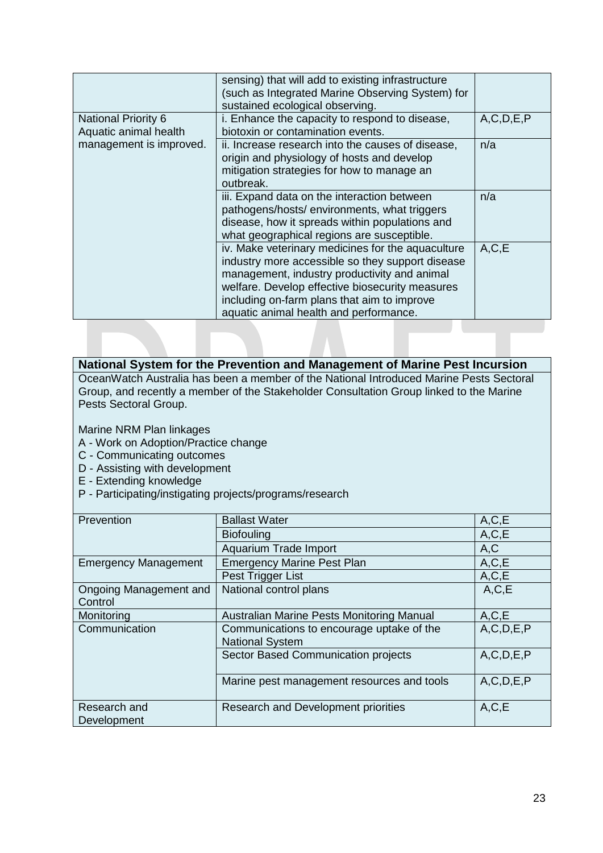|                                                     | sensing) that will add to existing infrastructure<br>(such as Integrated Marine Observing System) for<br>sustained ecological observing.                                                                                                                                                          |               |
|-----------------------------------------------------|---------------------------------------------------------------------------------------------------------------------------------------------------------------------------------------------------------------------------------------------------------------------------------------------------|---------------|
| <b>National Priority 6</b><br>Aquatic animal health | i. Enhance the capacity to respond to disease,<br>biotoxin or contamination events.                                                                                                                                                                                                               | A, C, D, E, P |
| management is improved.                             | ii. Increase research into the causes of disease,<br>origin and physiology of hosts and develop<br>mitigation strategies for how to manage an<br>outbreak.                                                                                                                                        | n/a           |
|                                                     | iii. Expand data on the interaction between<br>pathogens/hosts/environments, what triggers<br>disease, how it spreads within populations and<br>what geographical regions are susceptible.                                                                                                        | n/a           |
|                                                     | iv. Make veterinary medicines for the aquaculture<br>industry more accessible so they support disease<br>management, industry productivity and animal<br>welfare. Develop effective biosecurity measures<br>including on-farm plans that aim to improve<br>aquatic animal health and performance. | A, C, E       |
|                                                     |                                                                                                                                                                                                                                                                                                   |               |

| National System for the Prevention and Management of Marine Pest Incursion              |
|-----------------------------------------------------------------------------------------|
| OceanWatch Australia has been a member of the National Introduced Marine Pests Sectoral |
| Group, and recently a member of the Stakeholder Consultation Group linked to the Marine |
| Pests Sectoral Group.                                                                   |

Marine NRM Plan linkages

- A Work on Adoption/Practice change
- C Communicating outcomes
- D Assisting with development
- E Extending knowledge
- P Participating/instigating projects/programs/research

| Prevention                  | <b>Ballast Water</b>                       | A, C, E       |
|-----------------------------|--------------------------------------------|---------------|
|                             | <b>Biofouling</b>                          | A, C, E       |
|                             | Aquarium Trade Import                      | A, C          |
| <b>Emergency Management</b> | <b>Emergency Marine Pest Plan</b>          | A, C, E       |
|                             | Pest Trigger List                          | A, C, E       |
| Ongoing Management and      | National control plans                     | A, C, E       |
| Control                     |                                            |               |
| Monitoring                  | Australian Marine Pests Monitoring Manual  | A, C, E       |
| Communication               | Communications to encourage uptake of the  | A, C, D, E, P |
|                             | <b>National System</b>                     |               |
|                             | Sector Based Communication projects        | A, C, D, E, P |
|                             |                                            |               |
|                             | Marine pest management resources and tools | A, C, D, E, P |
|                             |                                            |               |
| Research and                | Research and Development priorities        | A, C, E       |
| Development                 |                                            |               |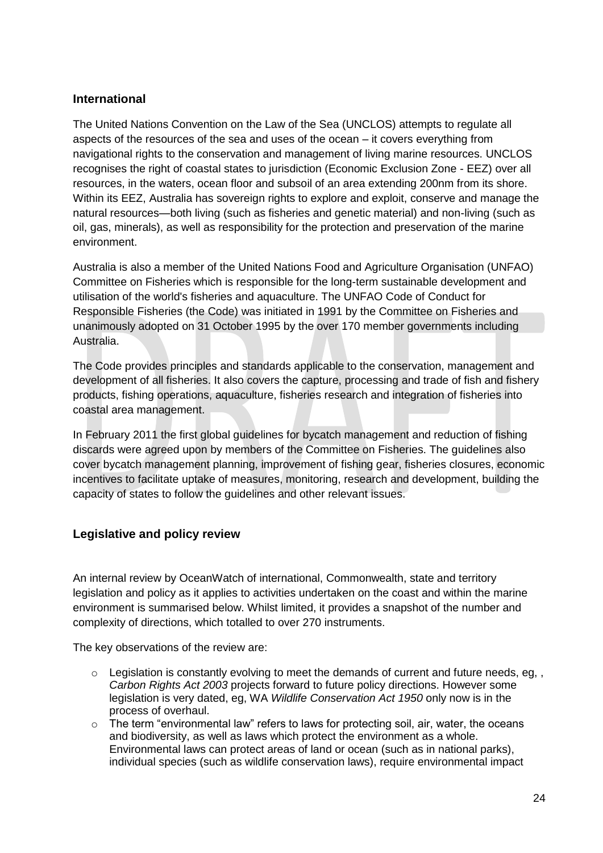#### **International**

The United Nations Convention on the Law of the Sea (UNCLOS) attempts to regulate all aspects of the resources of the sea and uses of the ocean – it covers everything from navigational rights to the conservation and management of living marine resources. UNCLOS recognises the right of coastal states to jurisdiction (Economic Exclusion Zone - EEZ) over all resources, in the waters, ocean floor and subsoil of an area extending 200nm from its shore. Within its EEZ, Australia has sovereign rights to explore and exploit, conserve and manage the natural resources—both living (such as fisheries and genetic material) and non-living (such as oil, gas, minerals), as well as responsibility for the protection and preservation of the marine environment.

Australia is also a member of the United Nations Food and Agriculture Organisation (UNFAO) Committee on Fisheries which is responsible for the long-term sustainable development and utilisation of the world's fisheries and aquaculture. The UNFAO Code of Conduct for Responsible Fisheries (the Code) was initiated in 1991 by the Committee on Fisheries and unanimously adopted on 31 October 1995 by the over 170 member governments including Australia.

The Code provides principles and standards applicable to the conservation, management and development of all fisheries. It also covers the capture, processing and trade of fish and fishery products, fishing operations, aquaculture, fisheries research and integration of fisheries into coastal area management.

In February 2011 the first global guidelines for bycatch management and reduction of fishing discards were agreed upon by members of the Committee on Fisheries. The guidelines also cover bycatch management planning, improvement of fishing gear, fisheries closures, economic incentives to facilitate uptake of measures, monitoring, research and development, building the capacity of states to follow the guidelines and other relevant issues.

#### **Legislative and policy review**

An internal review by OceanWatch of international, Commonwealth, state and territory legislation and policy as it applies to activities undertaken on the coast and within the marine environment is summarised below. Whilst limited, it provides a snapshot of the number and complexity of directions, which totalled to over 270 instruments.

The key observations of the review are:

- $\circ$  Legislation is constantly evolving to meet the demands of current and future needs, eg,, *[Carbon Rights Act 2003](http://www.slp.wa.gov.au/legislation/statutes.nsf/main_mrtitle_113_homepage.html)* projects forward to future policy directions. However some legislation is very dated, eg, WA *Wildlife Conservation Act 1950* only now is in the process of overhaul.
- $\circ$  The term "environmental law" refers to laws for protecting soil, air, water, the oceans and biodiversity, as well as laws which protect the environment as a whole. Environmental laws can protect areas of land or ocean (such as in national parks), individual species (such as wildlife conservation laws), require environmental impact